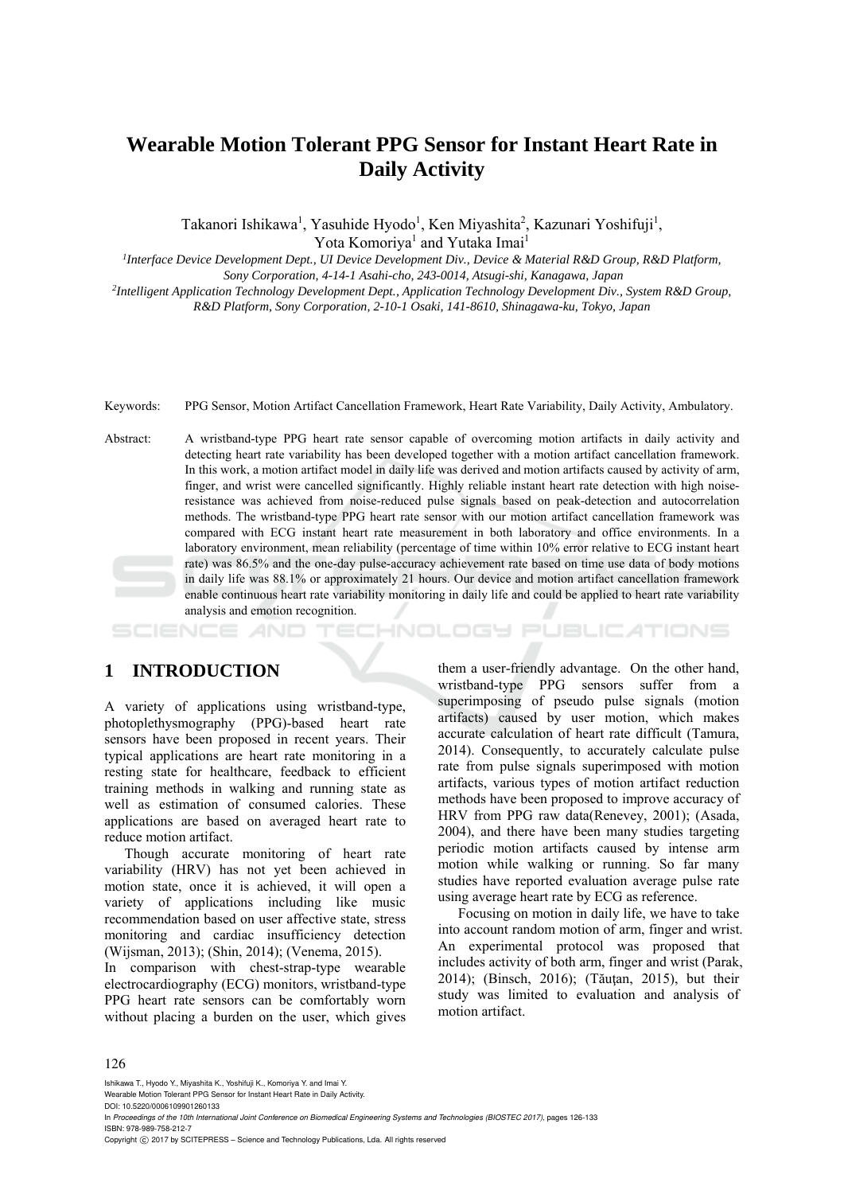# **Wearable Motion Tolerant PPG Sensor for Instant Heart Rate in Daily Activity**

Takanori Ishikawa<sup>1</sup>, Yasuhide Hyodo<sup>1</sup>, Ken Miyashita<sup>2</sup>, Kazunari Yoshifuji<sup>1</sup>, Yota Komoriya<sup>1</sup> and Yutaka Imai<sup>1</sup>

*1Interface Device Development Dept., UI Device Development Div., Device & Material R&D Group, R&D Platform,* 

 *Sony Corporation, 4-14-1 Asahi-cho, 243-0014, Atsugi-shi, Kanagawa, Japan 2Intelligent Application Technology Development Dept., Application Technology Development Div., System R&D Group, R&D Platform, Sony Corporation, 2-10-1 Osaki, 141-8610, Shinagawa-ku, Tokyo, Japan* 

Keywords: PPG Sensor, Motion Artifact Cancellation Framework, Heart Rate Variability, Daily Activity, Ambulatory.

Abstract: A wristband-type PPG heart rate sensor capable of overcoming motion artifacts in daily activity and detecting heart rate variability has been developed together with a motion artifact cancellation framework. In this work, a motion artifact model in daily life was derived and motion artifacts caused by activity of arm, finger, and wrist were cancelled significantly. Highly reliable instant heart rate detection with high noiseresistance was achieved from noise-reduced pulse signals based on peak-detection and autocorrelation methods. The wristband-type PPG heart rate sensor with our motion artifact cancellation framework was compared with ECG instant heart rate measurement in both laboratory and office environments. In a laboratory environment, mean reliability (percentage of time within 10% error relative to ECG instant heart rate) was 86.5% and the one-day pulse-accuracy achievement rate based on time use data of body motions in daily life was 88.1% or approximately 21 hours. Our device and motion artifact cancellation framework enable continuous heart rate variability monitoring in daily life and could be applied to heart rate variability analysis and emotion recognition.

## **1 INTRODUCTION**

A variety of applications using wristband-type, photoplethysmography (PPG)-based heart rate sensors have been proposed in recent years. Their typical applications are heart rate monitoring in a resting state for healthcare, feedback to efficient training methods in walking and running state as well as estimation of consumed calories. These applications are based on averaged heart rate to reduce motion artifact.

Though accurate monitoring of heart rate variability (HRV) has not yet been achieved in motion state, once it is achieved, it will open a variety of applications including like music recommendation based on user affective state, stress monitoring and cardiac insufficiency detection (Wijsman, 2013); (Shin, 2014); (Venema, 2015).

In comparison with chest-strap-type wearable electrocardiography (ECG) monitors, wristband-type PPG heart rate sensors can be comfortably worn without placing a burden on the user, which gives

them a user-friendly advantage. On the other hand, wristband-type PPG sensors suffer from a superimposing of pseudo pulse signals (motion artifacts) caused by user motion, which makes accurate calculation of heart rate difficult (Tamura, 2014). Consequently, to accurately calculate pulse rate from pulse signals superimposed with motion artifacts, various types of motion artifact reduction methods have been proposed to improve accuracy of HRV from PPG raw data(Renevey, 2001); (Asada, 2004), and there have been many studies targeting periodic motion artifacts caused by intense arm motion while walking or running. So far many studies have reported evaluation average pulse rate using average heart rate by ECG as reference.

HNOLOGY PUBLICATIONS

Focusing on motion in daily life, we have to take into account random motion of arm, finger and wrist. An experimental protocol was proposed that includes activity of both arm, finger and wrist (Parak, 2014); (Binsch, 2016); (Tăuţan, 2015), but their study was limited to evaluation and analysis of motion artifact.

Ishikawa T., Hyodo Y., Miyashita K., Yoshifuji K., Komoriya Y. and Imai Y.

Wearable Motion Tolerant PPG Sensor for Instant Heart Rate in Daily Activity.

In *Proceedings of the 10th International Joint Conference on Biomedical Engineering Systems and Technologies (BIOSTEC 2017)*, pages 126-133 ISBN: 978-989-758-212-7

Copyright  $©$  2017 by SCITEPRESS - Science and Technology Publications, Lda. All rights reserved

DOI: 10.5220/0006109901260133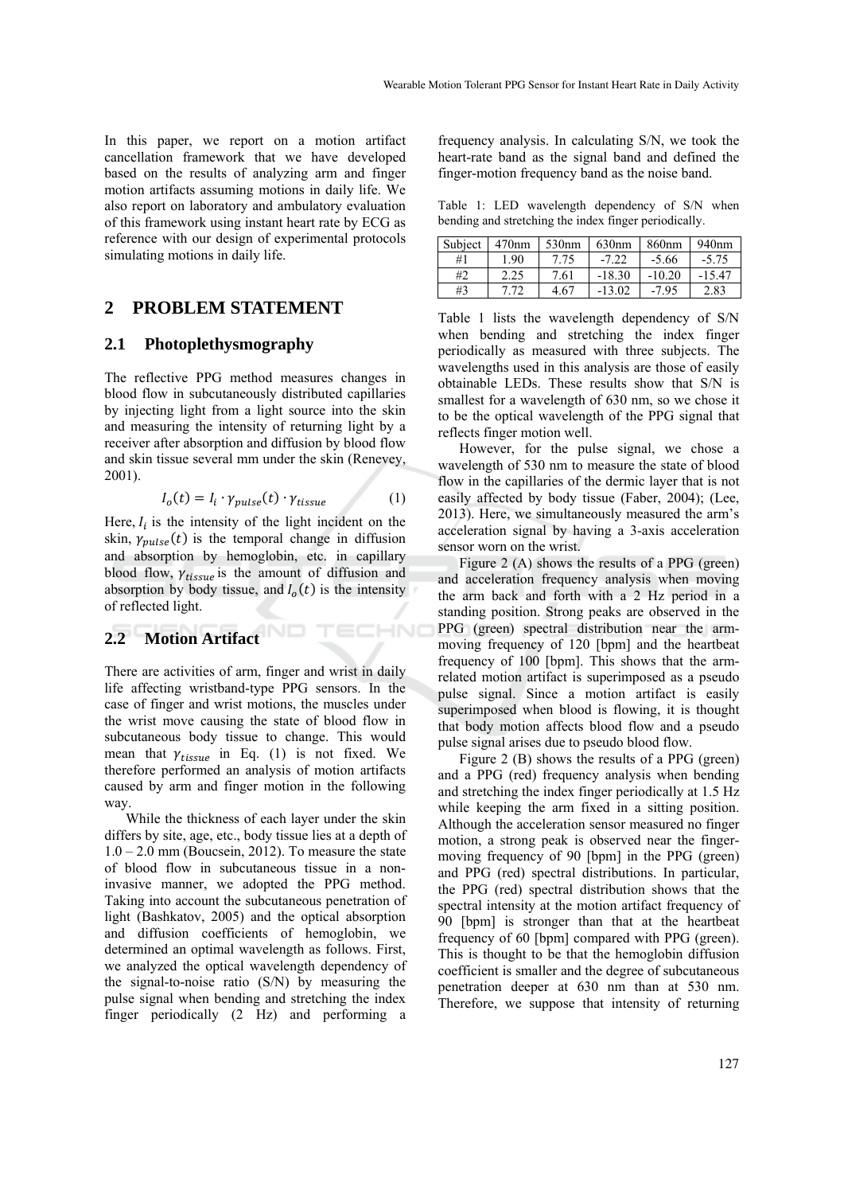In this paper, we report on a motion artifact cancellation framework that we have developed based on the results of analyzing arm and finger motion artifacts assuming motions in daily life. We also report on laboratory and ambulatory evaluation of this framework using instant heart rate by ECG as reference with our design of experimental protocols simulating motions in daily life.

## **2 PROBLEM STATEMENT**

#### **2.1 Photoplethysmography**

The reflective PPG method measures changes in blood flow in subcutaneously distributed capillaries by injecting light from a light source into the skin and measuring the intensity of returning light by a receiver after absorption and diffusion by blood flow and skin tissue several mm under the skin (Renevey, 2001).

$$
I_o(t) = I_i \cdot \gamma_{pulse}(t) \cdot \gamma_{tissue}
$$
 (1)

ECHNO

Here,  $I_i$  is the intensity of the light incident on the skin,  $\gamma_{pulse}(t)$  is the temporal change in diffusion and absorption by hemoglobin, etc. in capillary blood flow,  $\gamma_{tissue}$  is the amount of diffusion and absorption by body tissue, and  $I<sub>o</sub>(t)$  is the intensity of reflected light.

## **2.2 Motion Artifact**

There are activities of arm, finger and wrist in daily life affecting wristband-type PPG sensors. In the case of finger and wrist motions, the muscles under the wrist move causing the state of blood flow in subcutaneous body tissue to change. This would mean that  $\gamma_{tissue}$  in Eq. (1) is not fixed. We therefore performed an analysis of motion artifacts caused by arm and finger motion in the following way.

While the thickness of each layer under the skin differs by site, age, etc., body tissue lies at a depth of  $1.0 - 2.0$  mm (Boucsein, 2012). To measure the state of blood flow in subcutaneous tissue in a noninvasive manner, we adopted the PPG method. Taking into account the subcutaneous penetration of light (Bashkatov, 2005) and the optical absorption and diffusion coefficients of hemoglobin, we determined an optimal wavelength as follows. First, we analyzed the optical wavelength dependency of the signal-to-noise ratio (S/N) by measuring the pulse signal when bending and stretching the index finger periodically (2 Hz) and performing a

frequency analysis. In calculating S/N, we took the heart-rate band as the signal band and defined the finger-motion frequency band as the noise band.

Table 1: LED wavelength dependency of S/N when bending and stretching the index finger periodically.

| Subject | 470nm | 530 <sub>nm</sub> | 630nm    | 860nm    | 940 <sub>nm</sub> |
|---------|-------|-------------------|----------|----------|-------------------|
| #1      | 1.90  | 7.75              | $-7.22$  | $-5.66$  | $-5.75$           |
| #2      | 2.25  | 7.61              | $-18.30$ | $-10.20$ | $-15.47$          |
| #3      | 7 72  | 4.67              | $-13.02$ | $-7.95$  | 2.83              |

Table 1 lists the wavelength dependency of S/N when bending and stretching the index finger periodically as measured with three subjects. The wavelengths used in this analysis are those of easily obtainable LEDs. These results show that S/N is smallest for a wavelength of 630 nm, so we chose it to be the optical wavelength of the PPG signal that reflects finger motion well.

However, for the pulse signal, we chose a wavelength of 530 nm to measure the state of blood flow in the capillaries of the dermic layer that is not easily affected by body tissue (Faber, 2004); (Lee, 2013). Here, we simultaneously measured the arm's acceleration signal by having a 3-axis acceleration sensor worn on the wrist.

Figure 2 (A) shows the results of a PPG (green) and acceleration frequency analysis when moving the arm back and forth with a 2 Hz period in a standing position. Strong peaks are observed in the PPG (green) spectral distribution near the armmoving frequency of 120 [bpm] and the heartbeat frequency of 100 [bpm]. This shows that the armrelated motion artifact is superimposed as a pseudo pulse signal. Since a motion artifact is easily superimposed when blood is flowing, it is thought that body motion affects blood flow and a pseudo pulse signal arises due to pseudo blood flow.

Figure 2 (B) shows the results of a PPG (green) and a PPG (red) frequency analysis when bending and stretching the index finger periodically at 1.5 Hz while keeping the arm fixed in a sitting position. Although the acceleration sensor measured no finger motion, a strong peak is observed near the fingermoving frequency of 90 [bpm] in the PPG (green) and PPG (red) spectral distributions. In particular, the PPG (red) spectral distribution shows that the spectral intensity at the motion artifact frequency of 90 [bpm] is stronger than that at the heartbeat frequency of 60 [bpm] compared with PPG (green). This is thought to be that the hemoglobin diffusion coefficient is smaller and the degree of subcutaneous penetration deeper at 630 nm than at 530 nm. Therefore, we suppose that intensity of returning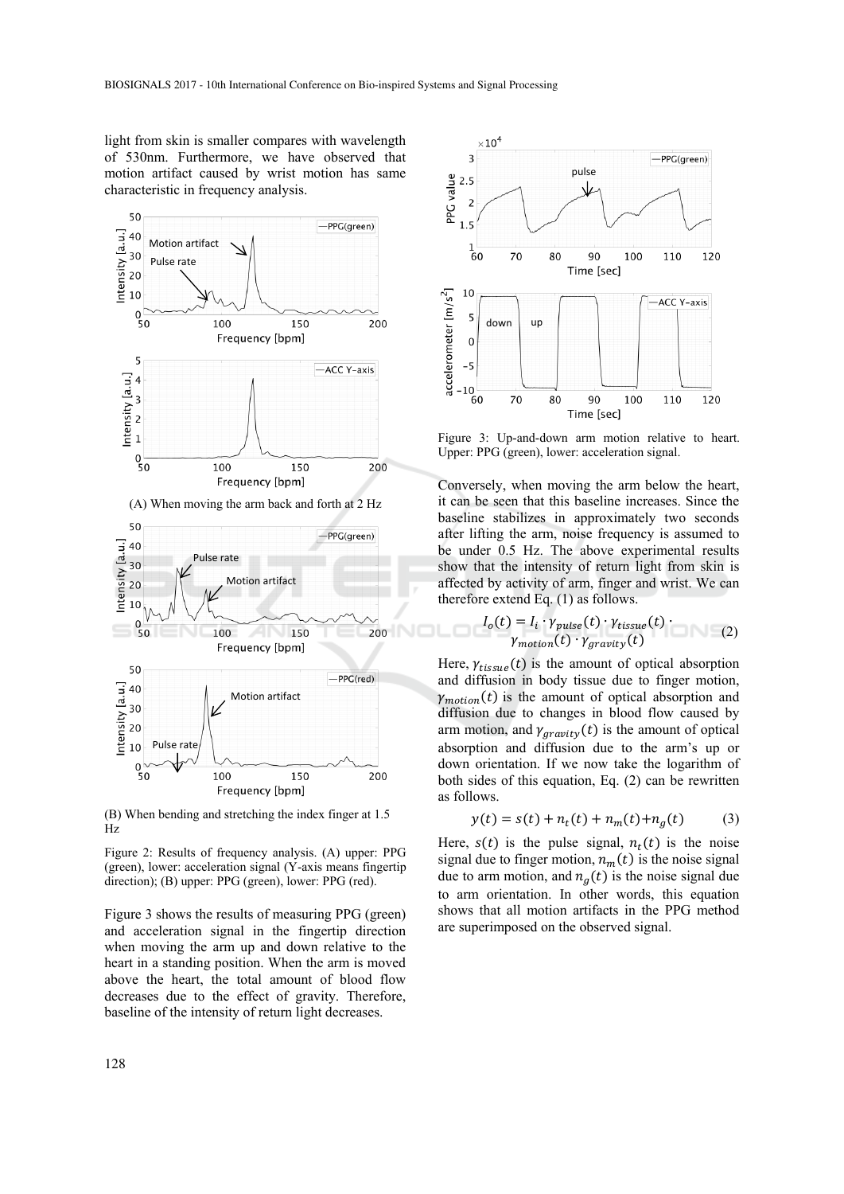light from skin is smaller compares with wavelength of 530nm. Furthermore, we have observed that motion artifact caused by wrist motion has same characteristic in frequency analysis.



(B) When bending and stretching the index finger at 1.5 Hz

Figure 2: Results of frequency analysis. (A) upper: PPG (green), lower: acceleration signal (Y-axis means fingertip direction); (B) upper: PPG (green), lower: PPG (red).

Figure 3 shows the results of measuring PPG (green) and acceleration signal in the fingertip direction when moving the arm up and down relative to the heart in a standing position. When the arm is moved above the heart, the total amount of blood flow decreases due to the effect of gravity. Therefore, baseline of the intensity of return light decreases.



Figure 3: Up-and-down arm motion relative to heart. Upper: PPG (green), lower: acceleration signal.

Conversely, when moving the arm below the heart, it can be seen that this baseline increases. Since the baseline stabilizes in approximately two seconds after lifting the arm, noise frequency is assumed to be under 0.5 Hz. The above experimental results show that the intensity of return light from skin is affected by activity of arm, finger and wrist. We can therefore extend Eq. (1) as follows.

$$
I_o(t) = I_i \cdot \gamma_{pulse}(t) \cdot \gamma_{tissue}(t) \cdot \gamma_{motion}(t) \cdot \gamma_{gravity}(t)
$$
\n(2)

Here,  $\gamma_{tissue}(t)$  is the amount of optical absorption and diffusion in body tissue due to finger motion,  $\gamma_{motion}(t)$  is the amount of optical absorption and diffusion due to changes in blood flow caused by arm motion, and  $\gamma_{gravity}(t)$  is the amount of optical absorption and diffusion due to the arm's up or down orientation. If we now take the logarithm of both sides of this equation, Eq. (2) can be rewritten as follows.

$$
y(t) = s(t) + n_t(t) + n_m(t) + n_g(t)
$$
 (3)

Here,  $s(t)$  is the pulse signal,  $n_t(t)$  is the noise signal due to finger motion,  $n_m(t)$  is the noise signal due to arm motion, and  $n_a(t)$  is the noise signal due to arm orientation. In other words, this equation shows that all motion artifacts in the PPG method are superimposed on the observed signal.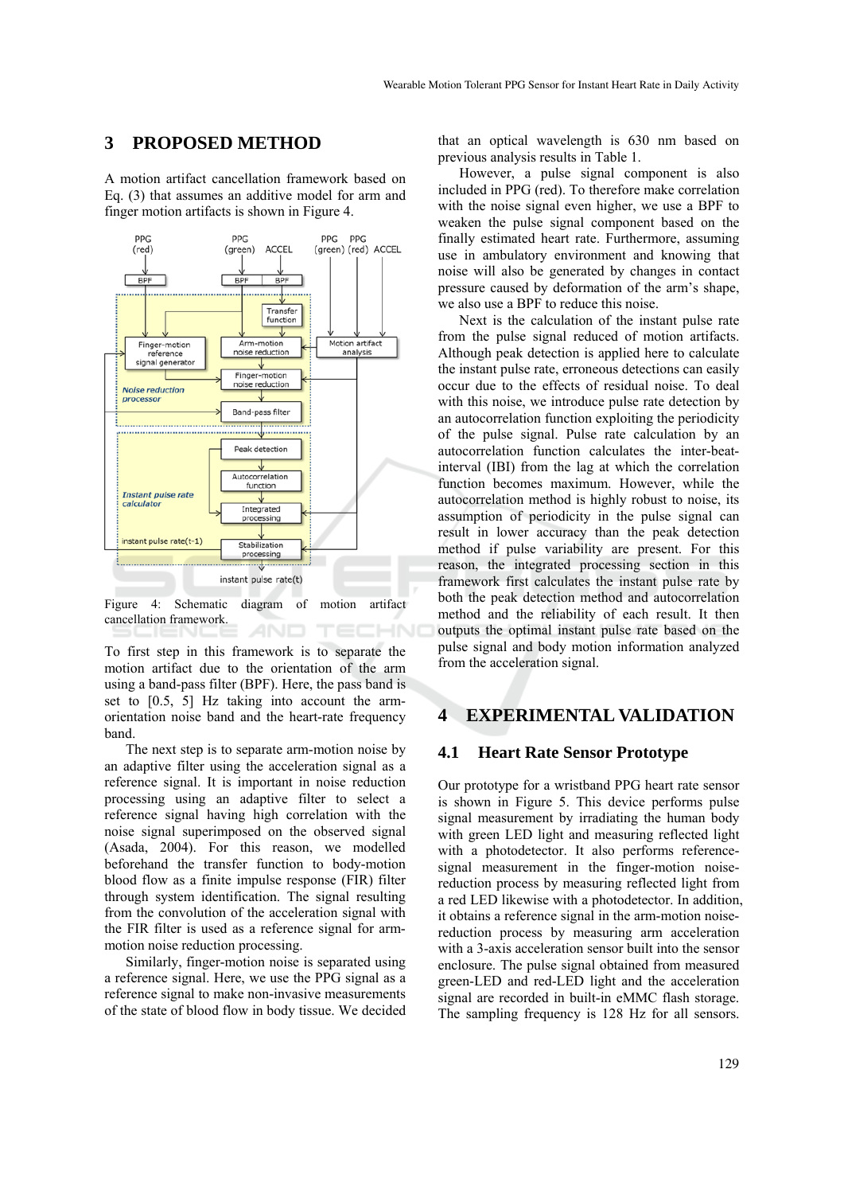#### **3 PROPOSED METHOD**

A motion artifact cancellation framework based on Eq. (3) that assumes an additive model for arm and finger motion artifacts is shown in Figure 4.



Figure 4: Schematic diagram of motion artifact cancellation framework. TECHN(

To first step in this framework is to separate the motion artifact due to the orientation of the arm using a band-pass filter (BPF). Here, the pass band is set to [0.5, 5] Hz taking into account the armorientation noise band and the heart-rate frequency band.

The next step is to separate arm-motion noise by an adaptive filter using the acceleration signal as a reference signal. It is important in noise reduction processing using an adaptive filter to select a reference signal having high correlation with the noise signal superimposed on the observed signal (Asada, 2004). For this reason, we modelled beforehand the transfer function to body-motion blood flow as a finite impulse response (FIR) filter through system identification. The signal resulting from the convolution of the acceleration signal with the FIR filter is used as a reference signal for armmotion noise reduction processing.

Similarly, finger-motion noise is separated using a reference signal. Here, we use the PPG signal as a reference signal to make non-invasive measurements of the state of blood flow in body tissue. We decided

that an optical wavelength is 630 nm based on previous analysis results in Table 1.

However, a pulse signal component is also included in PPG (red). To therefore make correlation with the noise signal even higher, we use a BPF to weaken the pulse signal component based on the finally estimated heart rate. Furthermore, assuming use in ambulatory environment and knowing that noise will also be generated by changes in contact pressure caused by deformation of the arm's shape, we also use a BPF to reduce this noise.

Next is the calculation of the instant pulse rate from the pulse signal reduced of motion artifacts. Although peak detection is applied here to calculate the instant pulse rate, erroneous detections can easily occur due to the effects of residual noise. To deal with this noise, we introduce pulse rate detection by an autocorrelation function exploiting the periodicity of the pulse signal. Pulse rate calculation by an autocorrelation function calculates the inter-beatinterval (IBI) from the lag at which the correlation function becomes maximum. However, while the autocorrelation method is highly robust to noise, its assumption of periodicity in the pulse signal can result in lower accuracy than the peak detection method if pulse variability are present. For this reason, the integrated processing section in this framework first calculates the instant pulse rate by both the peak detection method and autocorrelation method and the reliability of each result. It then outputs the optimal instant pulse rate based on the pulse signal and body motion information analyzed from the acceleration signal.

### **4 EXPERIMENTAL VALIDATION**

#### **4.1 Heart Rate Sensor Prototype**

Our prototype for a wristband PPG heart rate sensor is shown in Figure 5. This device performs pulse signal measurement by irradiating the human body with green LED light and measuring reflected light with a photodetector. It also performs referencesignal measurement in the finger-motion noisereduction process by measuring reflected light from a red LED likewise with a photodetector. In addition, it obtains a reference signal in the arm-motion noisereduction process by measuring arm acceleration with a 3-axis acceleration sensor built into the sensor enclosure. The pulse signal obtained from measured green-LED and red-LED light and the acceleration signal are recorded in built-in eMMC flash storage. The sampling frequency is 128 Hz for all sensors.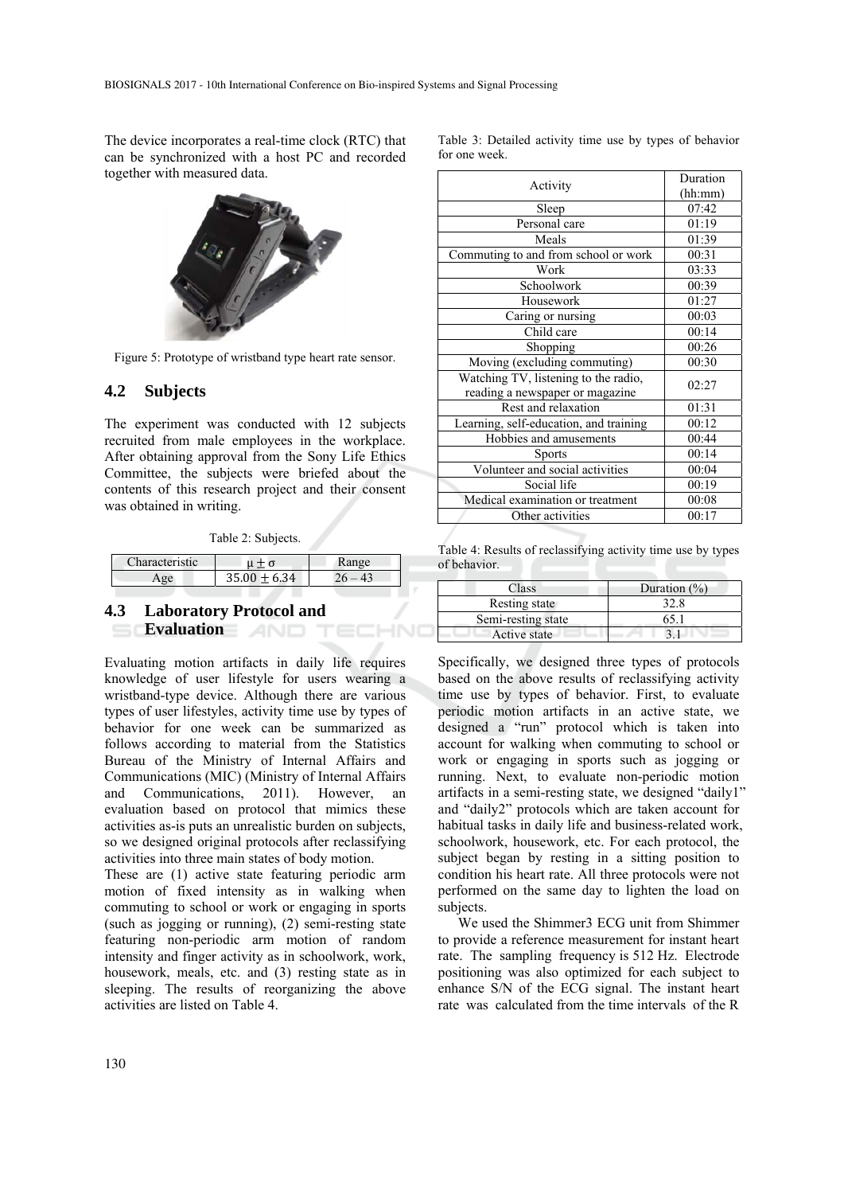The device incorporates a real-time clock (RTC) that can be synchronized with a host PC and recorded together with measured data.



Figure 5: Prototype of wristband type heart rate sensor.

#### **4.2 Subjects**

The experiment was conducted with 12 subjects recruited from male employees in the workplace. After obtaining approval from the Sony Life Ethics Committee, the subjects were briefed about the contents of this research project and their consent was obtained in writing.

Table 2: Subjects.

| Characteristic |                  | $n \sigma$ $\alpha$ |
|----------------|------------------|---------------------|
|                | $35.00 \pm 6.34$ |                     |

HNO

#### **4.3 Laboratory Protocol and Evaluation AND**

Evaluating motion artifacts in daily life requires knowledge of user lifestyle for users wearing a wristband-type device. Although there are various types of user lifestyles, activity time use by types of behavior for one week can be summarized as follows according to material from the Statistics Bureau of the Ministry of Internal Affairs and Communications (MIC) (Ministry of Internal Affairs and Communications, 2011). However, an evaluation based on protocol that mimics these activities as-is puts an unrealistic burden on subjects, so we designed original protocols after reclassifying activities into three main states of body motion.

These are (1) active state featuring periodic arm motion of fixed intensity as in walking when commuting to school or work or engaging in sports (such as jogging or running), (2) semi-resting state featuring non-periodic arm motion of random intensity and finger activity as in schoolwork, work, housework, meals, etc. and (3) resting state as in sleeping. The results of reorganizing the above activities are listed on Table 4.

|               |  |  |  | Table 3: Detailed activity time use by types of behavior |
|---------------|--|--|--|----------------------------------------------------------|
| for one week. |  |  |  |                                                          |

|                                        | Duration |
|----------------------------------------|----------|
| Activity                               | (hh:mm)  |
| Sleep                                  | 07:42    |
| Personal care                          | 01:19    |
| Meals                                  | 01:39    |
| Commuting to and from school or work   | 00:31    |
| Work                                   | 03:33    |
| Schoolwork                             | 00:39    |
| Housework                              | 01:27    |
| Caring or nursing                      | 00:03    |
| Child care                             | 00:14    |
| Shopping                               | 00:26    |
| Moving (excluding commuting)           | 00:30    |
| Watching TV, listening to the radio,   | 02:27    |
| reading a newspaper or magazine        |          |
| Rest and relaxation                    | 01:31    |
| Learning, self-education, and training | 00:12    |
| Hobbies and amusements                 | 00:44    |
| <b>Sports</b>                          | 00:14    |
| Volunteer and social activities        | 00:04    |
| Social life                            | 00:19    |
| Medical examination or treatment       | 00:08    |
| Other activities                       | 00:17    |
|                                        |          |

Table 4: Results of reclassifying activity time use by types of behavior.

| Class              | Duration $(\% )$ |
|--------------------|------------------|
| Resting state      | 32.8             |
| Semi-resting state | 65.1             |
| Active state       |                  |

Specifically, we designed three types of protocols based on the above results of reclassifying activity time use by types of behavior. First, to evaluate periodic motion artifacts in an active state, we designed a "run" protocol which is taken into account for walking when commuting to school or work or engaging in sports such as jogging or running. Next, to evaluate non-periodic motion artifacts in a semi-resting state, we designed "daily1" and "daily2" protocols which are taken account for habitual tasks in daily life and business-related work, schoolwork, housework, etc. For each protocol, the subject began by resting in a sitting position to condition his heart rate. All three protocols were not performed on the same day to lighten the load on subjects.

We used the Shimmer3 ECG unit from Shimmer to provide a reference measurement for instant heart rate. The sampling frequency is 512 Hz. Electrode positioning was also optimized for each subject to enhance S/N of the ECG signal. The instant heart rate was calculated from the time intervals of the R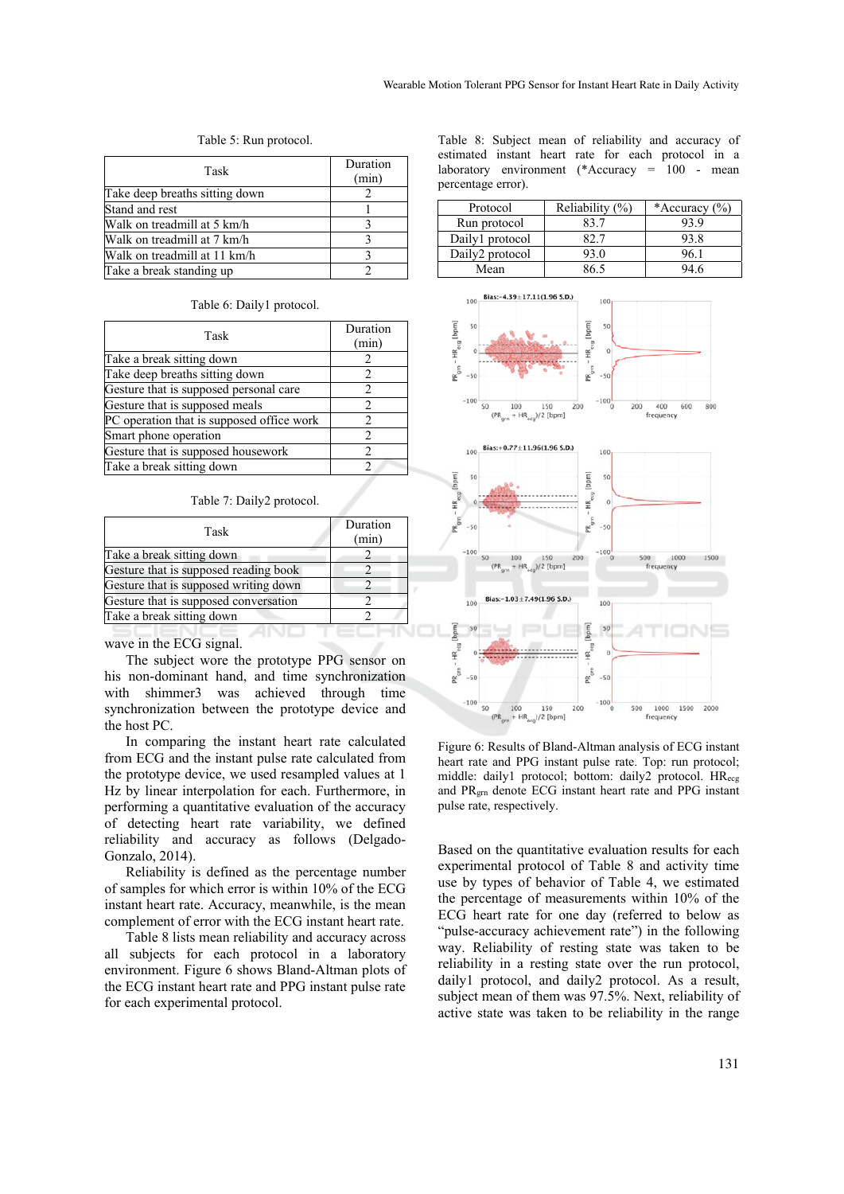Table 5: Run protocol.

| Task                           | Duration<br>(min) |
|--------------------------------|-------------------|
| Take deep breaths sitting down |                   |
| Stand and rest                 |                   |
| Walk on treadmill at 5 km/h    |                   |
| Walk on treadmill at 7 km/h    |                   |
| Walk on treadmill at 11 km/h   |                   |
| Take a break standing up       |                   |

Table 6: Daily1 protocol.

| Task                                      | Duration<br>(min) |
|-------------------------------------------|-------------------|
| Take a break sitting down                 |                   |
| Take deep breaths sitting down            |                   |
| Gesture that is supposed personal care    | 2                 |
| Gesture that is supposed meals            | 2                 |
| PC operation that is supposed office work | 2                 |
| Smart phone operation                     | 2                 |
| Gesture that is supposed housework        | $\mathfrak{D}$    |
| Take a break sitting down                 |                   |
|                                           |                   |

Table 7: Daily2 protocol.

| Task                                  | Duration<br>(min) |
|---------------------------------------|-------------------|
| Take a break sitting down             |                   |
| Gesture that is supposed reading book |                   |
| Gesture that is supposed writing down |                   |
| Gesture that is supposed conversation |                   |
| Take a break sitting down             |                   |

wave in the ECG signal.

The subject wore the prototype PPG sensor on his non-dominant hand, and time synchronization with shimmer3 was achieved through time synchronization between the prototype device and the host PC.

In comparing the instant heart rate calculated from ECG and the instant pulse rate calculated from the prototype device, we used resampled values at 1 Hz by linear interpolation for each. Furthermore, in performing a quantitative evaluation of the accuracy of detecting heart rate variability, we defined reliability and accuracy as follows (Delgado-Gonzalo, 2014).

Reliability is defined as the percentage number of samples for which error is within 10% of the ECG instant heart rate. Accuracy, meanwhile, is the mean complement of error with the ECG instant heart rate.

Table 8 lists mean reliability and accuracy across all subjects for each protocol in a laboratory environment. Figure 6 shows Bland-Altman plots of the ECG instant heart rate and PPG instant pulse rate for each experimental protocol.

Table 8: Subject mean of reliability and accuracy of estimated instant heart rate for each protocol in a laboratory environment (\*Accuracy = 100 - mean percentage error).

| Protocol                    | Reliability $(\%)$ | *Accuracy $(\% )$ |
|-----------------------------|--------------------|-------------------|
| Run protocol                | 83 7               | 93.9              |
| Daily1 protocol             |                    | 93.8              |
| Daily <sub>2</sub> protocol | 93.0               | 76 1              |
| Mean                        | 86.5               | 94 6              |



Figure 6: Results of Bland-Altman analysis of ECG instant heart rate and PPG instant pulse rate. Top: run protocol; middle: daily1 protocol; bottom: daily2 protocol. HRecg and PRgrn denote ECG instant heart rate and PPG instant pulse rate, respectively.

Based on the quantitative evaluation results for each experimental protocol of Table 8 and activity time use by types of behavior of Table 4, we estimated the percentage of measurements within 10% of the ECG heart rate for one day (referred to below as "pulse-accuracy achievement rate") in the following way. Reliability of resting state was taken to be reliability in a resting state over the run protocol, daily1 protocol, and daily2 protocol. As a result, subject mean of them was 97.5%. Next, reliability of active state was taken to be reliability in the range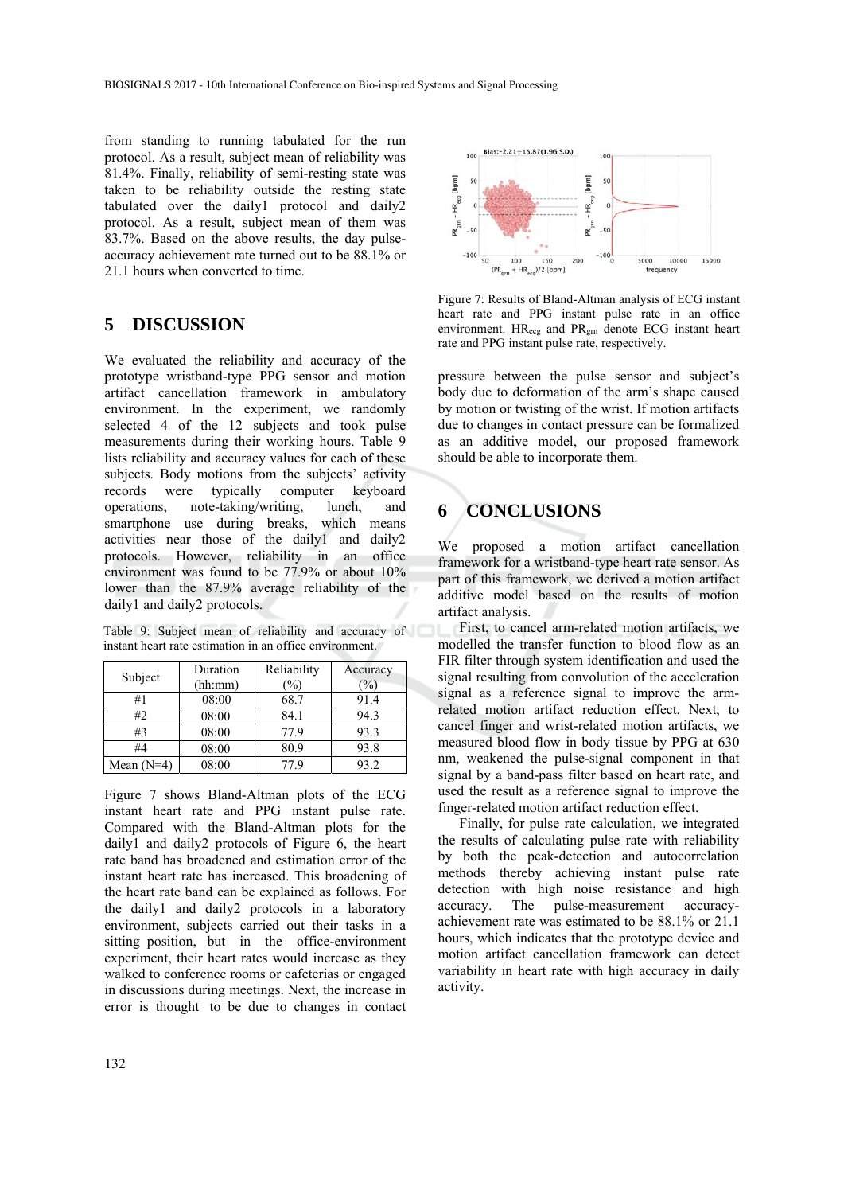from standing to running tabulated for the run protocol. As a result, subject mean of reliability was 81.4%. Finally, reliability of semi-resting state was taken to be reliability outside the resting state tabulated over the daily1 protocol and daily2 protocol. As a result, subject mean of them was 83.7%. Based on the above results, the day pulseaccuracy achievement rate turned out to be 88.1% or 21.1 hours when converted to time.

## **5 DISCUSSION**

We evaluated the reliability and accuracy of the prototype wristband-type PPG sensor and motion artifact cancellation framework in ambulatory environment. In the experiment, we randomly selected 4 of the 12 subjects and took pulse measurements during their working hours. Table 9 lists reliability and accuracy values for each of these subjects. Body motions from the subjects' activity records were typically computer keyboard operations, note-taking/writing, lunch, and smartphone use during breaks, which means activities near those of the daily1 and daily2 protocols. However, reliability in an office environment was found to be 77.9% or about 10% lower than the 87.9% average reliability of the daily1 and daily2 protocols.

Table 9: Subject mean of reliability and accuracy of instant heart rate estimation in an office environment.

| Subject      | Duration | Reliability   | Accuracy      |
|--------------|----------|---------------|---------------|
|              | (hh:mm)  | $\frac{1}{2}$ | $\frac{1}{2}$ |
| #1           | 08:00    | 68.7          | 91.4          |
| #2           | 08:00    | 84.1          | 94.3          |
| #3           | 08:00    | 77.9          | 93.3          |
| #4           | 08:00    | 80.9          | 93.8          |
| Mean $(N=4)$ | 08:00    | 77 9          | 93.2          |

Figure 7 shows Bland-Altman plots of the ECG instant heart rate and PPG instant pulse rate. Compared with the Bland-Altman plots for the daily1 and daily2 protocols of Figure 6, the heart rate band has broadened and estimation error of the instant heart rate has increased. This broadening of the heart rate band can be explained as follows. For the daily1 and daily2 protocols in a laboratory environment, subjects carried out their tasks in a sitting position, but in the office-environment experiment, their heart rates would increase as they walked to conference rooms or cafeterias or engaged in discussions during meetings. Next, the increase in error is thought to be due to changes in contact



Figure 7: Results of Bland-Altman analysis of ECG instant heart rate and PPG instant pulse rate in an office environment. HR<sub>ecg</sub> and PR<sub>grn</sub> denote ECG instant heart rate and PPG instant pulse rate, respectively.

pressure between the pulse sensor and subject's body due to deformation of the arm's shape caused by motion or twisting of the wrist. If motion artifacts due to changes in contact pressure can be formalized as an additive model, our proposed framework should be able to incorporate them.

## **6 CONCLUSIONS**

We proposed a motion artifact cancellation framework for a wristband-type heart rate sensor. As part of this framework, we derived a motion artifact additive model based on the results of motion artifact analysis.

First, to cancel arm-related motion artifacts, we modelled the transfer function to blood flow as an FIR filter through system identification and used the signal resulting from convolution of the acceleration signal as a reference signal to improve the armrelated motion artifact reduction effect. Next, to cancel finger and wrist-related motion artifacts, we measured blood flow in body tissue by PPG at 630 nm, weakened the pulse-signal component in that signal by a band-pass filter based on heart rate, and used the result as a reference signal to improve the finger-related motion artifact reduction effect.

Finally, for pulse rate calculation, we integrated the results of calculating pulse rate with reliability by both the peak-detection and autocorrelation methods thereby achieving instant pulse rate detection with high noise resistance and high accuracy. The pulse-measurement accuracyachievement rate was estimated to be 88.1% or 21.1 hours, which indicates that the prototype device and motion artifact cancellation framework can detect variability in heart rate with high accuracy in daily activity.